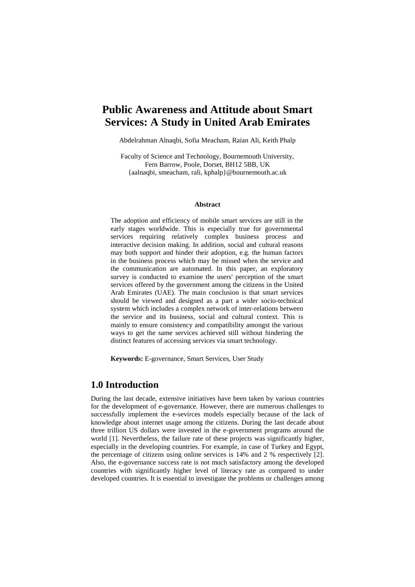# **Public Awareness and Attitude about Smart Services: A Study in United Arab Emirates**

Abdelrahman Alnaqbi, Sofia Meacham, Raian Ali, Keith Phalp

Faculty of Science and Technology, Bournemouth University, Fern Barrow, Poole, Dorset, BH12 5BB, UK {aalnaqbi, [smeacham,](mailto:smeacham) [rali,](mailto:rali) kphalp}@bournemouth.ac.uk

#### **Abstract**

The adoption and efficiency of mobile smart services are still in the early stages worldwide. This is especially true for governmental services requiring relatively complex business process and interactive decision making. In addition, social and cultural reasons may both support and hinder their adoption, e.g. the human factors in the business process which may be missed when the service and the communication are automated. In this paper, an exploratory survey is conducted to examine the users' perception of the smart services offered by the government among the citizens in the United Arab Emirates (UAE). The main conclusion is that smart services should be viewed and designed as a part a wider socio-technical system which includes a complex network of inter-relations between the service and its business, social and cultural context. This is mainly to ensure consistency and compatibility amongst the various ways to get the same services achieved still without hindering the distinct features of accessing services via smart technology.

**Keywords:** E-governance, Smart Services, User Study

# **1.0 Introduction**

During the last decade, extensive initiatives have been taken by various countries for the development of e-governance. However, there are numerous challenges to successfully implement the e-sevirces models especially because of the lack of knowledge about internet usage among the citizens. During the last decade about three trillion US dollars were invested in the e-government programs around the world [1]. Nevertheless, the failure rate of these projects was significantly higher, especially in the developing countries. For example, in case of Turkey and Egypt, the percentage of citizens using online services is 14% and 2 % respectively [2]. Also, the e-governance success rate is not much satisfactory among the developed countries with significantly higher level of literacy rate as compared to under developed countries. It is essential to investigate the problems or challenges among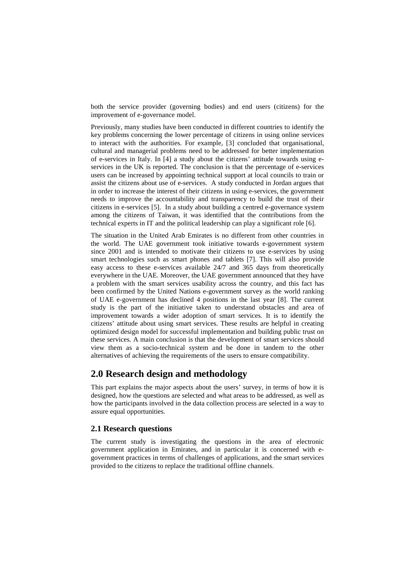both the service provider (governing bodies) and end users (citizens) for the improvement of e-governance model.

Previously, many studies have been conducted in different countries to identify the key problems concerning the lower percentage of citizens in using online services to interact with the authorities. For example, [3] concluded that organisational, cultural and managerial problems need to be addressed for better implementation of e-services in Italy. In [4] a study about the citizens' attitude towards using eservices in the UK is reported. The conclusion is that the percentage of e-services users can be increased by appointing technical support at local councils to train or assist the citizens about use of e-services. A study conducted in Jordan argues that in order to increase the interest of their citizens in using e-services, the government needs to improve the accountability and transparency to build the trust of their citizens in e-services [5]. In a study about building a centred e-governance system among the citizens of Taiwan, it was identified that the contributions from the technical experts in IT and the political leadership can play a significant role [6].

The situation in the United Arab Emirates is no different from other countries in the world. The UAE government took initiative towards e-government system since 2001 and is intended to motivate their citizens to use e-services by using smart technologies such as smart phones and tablets [7]. This will also provide easy access to these e-services available 24/7 and 365 days from theoretically everywhere in the UAE. Moreover, the UAE government announced that they have a problem with the smart services usability across the country, and this fact has been confirmed by the United Nations e-government survey as the world ranking of UAE e-government has declined 4 positions in the last year [8]. The current study is the part of the initiative taken to understand obstacles and area of improvement towards a wider adoption of smart services. It is to identify the citizens' attitude about using smart services. These results are helpful in creating optimized design model for successful implementation and building public trust on these services. A main conclusion is that the development of smart services should view them as a socio-technical system and be done in tandem to the other alternatives of achieving the requirements of the users to ensure compatibility.

# **2.0 Research design and methodology**

This part explains the major aspects about the users' survey, in terms of how it is designed, how the questions are selected and what areas to be addressed, as well as how the participants involved in the data collection process are selected in a way to assure equal opportunities.

### **2.1 Research questions**

The current study is investigating the questions in the area of electronic government application in Emirates, and in particular it is concerned with egovernment practices in terms of challenges of applications, and the smart services provided to the citizens to replace the traditional offline channels.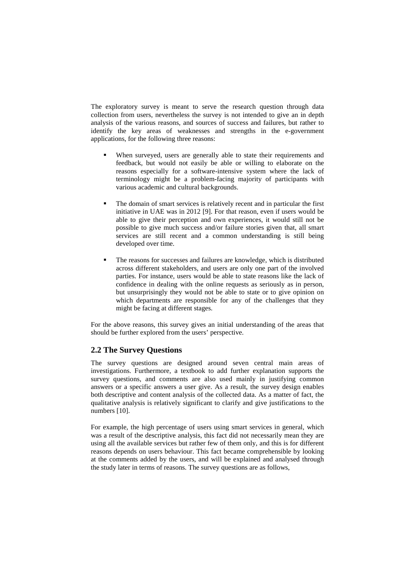The exploratory survey is meant to serve the research question through data collection from users, nevertheless the survey is not intended to give an in depth analysis of the various reasons, and sources of success and failures, but rather to identify the key areas of weaknesses and strengths in the e-government applications, for the following three reasons:

- When surveyed, users are generally able to state their requirements and feedback, but would not easily be able or willing to elaborate on the reasons especially for a software-intensive system where the lack of terminology might be a problem-facing majority of participants with various academic and cultural backgrounds.
- The domain of smart services is relatively recent and in particular the first initiative in UAE was in 2012 [9]. For that reason, even if users would be able to give their perception and own experiences, it would still not be possible to give much success and/or failure stories given that, all smart services are still recent and a common understanding is still being developed over time.
- The reasons for successes and failures are knowledge, which is distributed across different stakeholders, and users are only one part of the involved parties. For instance, users would be able to state reasons like the lack of confidence in dealing with the online requests as seriously as in person, but unsurprisingly they would not be able to state or to give opinion on which departments are responsible for any of the challenges that they might be facing at different stages.

For the above reasons, this survey gives an initial understanding of the areas that should be further explored from the users' perspective.

## **2.2 The Survey Questions**

The survey questions are designed around seven central main areas of investigations. Furthermore, a textbook to add further explanation supports the survey questions, and comments are also used mainly in justifying common answers or a specific answers a user give. As a result, the survey design enables both descriptive and content analysis of the collected data. As a matter of fact, the qualitative analysis is relatively significant to clarify and give justifications to the numbers [10].

For example, the high percentage of users using smart services in general, which was a result of the descriptive analysis, this fact did not necessarily mean they are using all the available services but rather few of them only, and this is for different reasons depends on users behaviour. This fact became comprehensible by looking at the comments added by the users, and will be explained and analysed through the study later in terms of reasons. The survey questions are as follows,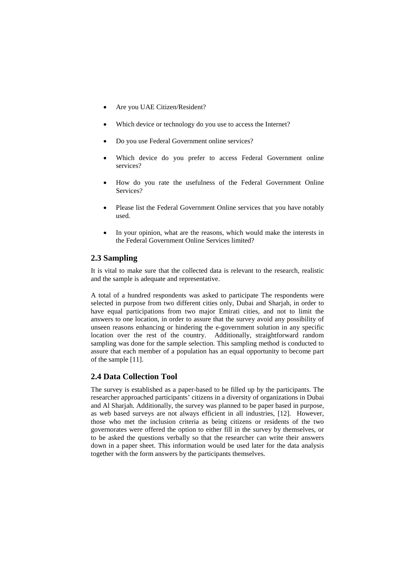- Are you UAE Citizen/Resident?
- Which device or technology do you use to access the Internet?
- Do you use Federal Government online services?
- Which device do you prefer to access Federal Government online services?
- How do you rate the usefulness of the Federal Government Online Services?
- Please list the Federal Government Online services that you have notably used.
- In your opinion, what are the reasons, which would make the interests in the Federal Government Online Services limited?

### **2.3 Sampling**

It is vital to make sure that the collected data is relevant to the research, realistic and the sample is adequate and representative.

A total of a hundred respondents was asked to participate The respondents were selected in purpose from two different cities only, Dubai and Sharjah, in order to have equal participations from two major Emirati cities, and not to limit the answers to one location, in order to assure that the survey avoid any possibility of unseen reasons enhancing or hindering the e-government solution in any specific location over the rest of the country. Additionally, straightforward random sampling was done for the sample selection. This sampling method is conducted to assure that each member of a population has an equal opportunity to become part of the sample [11].

### **2.4 Data Collection Tool**

The survey is established as a paper-based to be filled up by the participants. The researcher approached participants' citizens in a diversity of organizations in Dubai and Al Sharjah. Additionally, the survey was planned to be paper based in purpose, as web based surveys are not always efficient in all industries, [12]. However, those who met the inclusion criteria as being citizens or residents of the two governorates were offered the option to either fill in the survey by themselves, or to be asked the questions verbally so that the researcher can write their answers down in a paper sheet. This information would be used later for the data analysis together with the form answers by the participants themselves.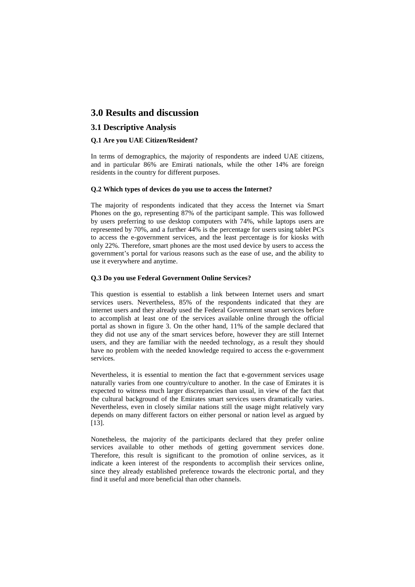# **3.0 Results and discussion**

### **3.1 Descriptive Analysis**

#### **Q.1 Are you UAE Citizen/Resident?**

In terms of demographics, the majority of respondents are indeed UAE citizens, and in particular 86% are Emirati nationals, while the other 14% are foreign residents in the country for different purposes.

#### **Q.2 Which types of devices do you use to access the Internet?**

The majority of respondents indicated that they access the Internet via Smart Phones on the go, representing 87% of the participant sample. This was followed by users preferring to use desktop computers with 74%, while laptops users are represented by 70%, and a further 44% is the percentage for users using tablet PCs to access the e-government services, and the least percentage is for kiosks with only 22%. Therefore, smart phones are the most used device by users to access the government's portal for various reasons such as the ease of use, and the ability to use it everywhere and anytime.

#### **Q.3 Do you use Federal Government Online Services?**

This question is essential to establish a link between Internet users and smart services users. Nevertheless, 85% of the respondents indicated that they are internet users and they already used the Federal Government smart services before to accomplish at least one of the services available online through the official portal as shown in figure 3. On the other hand, 11% of the sample declared that they did not use any of the smart services before, however they are still Internet users, and they are familiar with the needed technology, as a result they should have no problem with the needed knowledge required to access the e-government services.

Nevertheless, it is essential to mention the fact that e-government services usage naturally varies from one country/culture to another. In the case of Emirates it is expected to witness much larger discrepancies than usual, in view of the fact that the cultural background of the Emirates smart services users dramatically varies. Nevertheless, even in closely similar nations still the usage might relatively vary depends on many different factors on either personal or nation level as argued by [13].

Nonetheless, the majority of the participants declared that they prefer online services available to other methods of getting government services done. Therefore, this result is significant to the promotion of online services, as it indicate a keen interest of the respondents to accomplish their services online, since they already established preference towards the electronic portal, and they find it useful and more beneficial than other channels.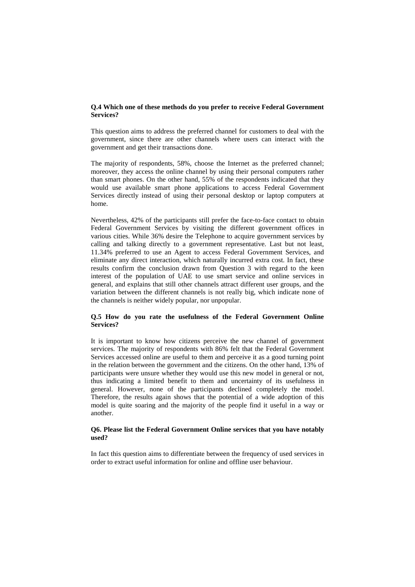#### **Q.4 Which one of these methods do you prefer to receive Federal Government Services?**

This question aims to address the preferred channel for customers to deal with the government, since there are other channels where users can interact with the government and get their transactions done.

The majority of respondents, 58%, choose the Internet as the preferred channel; moreover, they access the online channel by using their personal computers rather than smart phones. On the other hand, 55% of the respondents indicated that they would use available smart phone applications to access Federal Government Services directly instead of using their personal desktop or laptop computers at home.

Nevertheless, 42% of the participants still prefer the face-to-face contact to obtain Federal Government Services by visiting the different government offices in various cities. While 36% desire the Telephone to acquire government services by calling and talking directly to a government representative. Last but not least, 11.34% preferred to use an Agent to access Federal Government Services, and eliminate any direct interaction, which naturally incurred extra cost. In fact, these results confirm the conclusion drawn from Question 3 with regard to the keen interest of the population of UAE to use smart service and online services in general, and explains that still other channels attract different user groups, and the variation between the different channels is not really big, which indicate none of the channels is neither widely popular, nor unpopular.

#### **Q.5 How do you rate the usefulness of the Federal Government Online Services?**

It is important to know how citizens perceive the new channel of government services. The majority of respondents with 86% felt that the Federal Government Services accessed online are useful to them and perceive it as a good turning point in the relation between the government and the citizens. On the other hand, 13% of participants were unsure whether they would use this new model in general or not, thus indicating a limited benefit to them and uncertainty of its usefulness in general. However, none of the participants declined completely the model. Therefore, the results again shows that the potential of a wide adoption of this model is quite soaring and the majority of the people find it useful in a way or another.

#### **Q6. Please list the Federal Government Online services that you have notably used?**

In fact this question aims to differentiate between the frequency of used services in order to extract useful information for online and offline user behaviour.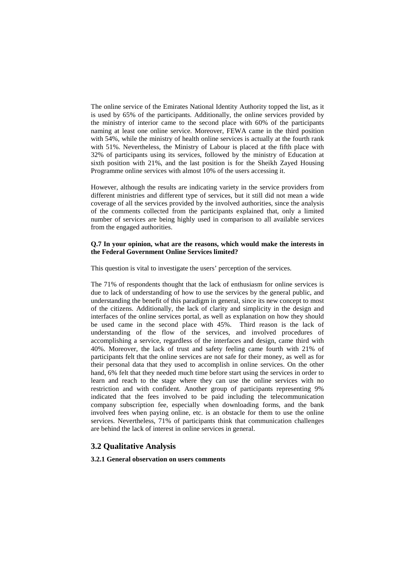The online service of the Emirates National Identity Authority topped the list, as it is used by 65% of the participants. Additionally, the online services provided by the ministry of interior came to the second place with 60% of the participants naming at least one online service. Moreover, FEWA came in the third position with 54%, while the ministry of health online services is actually at the fourth rank with 51%. Nevertheless, the Ministry of Labour is placed at the fifth place with 32% of participants using its services, followed by the ministry of Education at sixth position with 21%, and the last position is for the Sheikh Zayed Housing Programme online services with almost 10% of the users accessing it.

However, although the results are indicating variety in the service providers from different ministries and different type of services, but it still did not mean a wide coverage of all the services provided by the involved authorities, since the analysis of the comments collected from the participants explained that, only a limited number of services are being highly used in comparison to all available services from the engaged authorities.

#### **Q.7 In your opinion, what are the reasons, which would make the interests in the Federal Government Online Services limited?**

This question is vital to investigate the users' perception of the services.

The 71% of respondents thought that the lack of enthusiasm for online services is due to lack of understanding of how to use the services by the general public, and understanding the benefit of this paradigm in general, since its new concept to most of the citizens. Additionally, the lack of clarity and simplicity in the design and interfaces of the online services portal, as well as explanation on how they should be used came in the second place with 45%. Third reason is the lack of understanding of the flow of the services, and involved procedures of accomplishing a service, regardless of the interfaces and design, came third with 40%. Moreover, the lack of trust and safety feeling came fourth with 21% of participants felt that the online services are not safe for their money, as well as for their personal data that they used to accomplish in online services. On the other hand, 6% felt that they needed much time before start using the services in order to learn and reach to the stage where they can use the online services with no restriction and with confident. Another group of participants representing 9% indicated that the fees involved to be paid including the telecommunication company subscription fee, especially when downloading forms, and the bank involved fees when paying online, etc. is an obstacle for them to use the online services. Nevertheless, 71% of participants think that communication challenges are behind the lack of interest in online services in general.

### **3.2 Qualitative Analysis**

**3.2.1 General observation on users comments**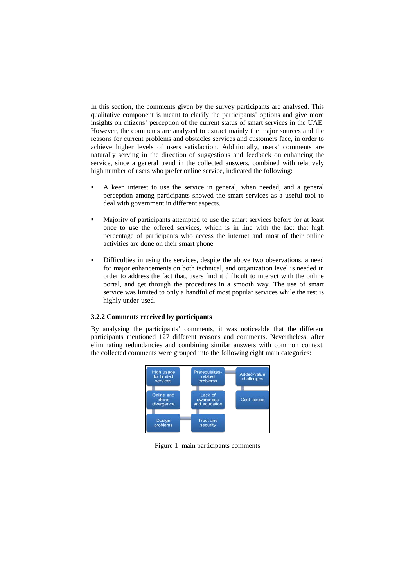In this section, the comments given by the survey participants are analysed. This qualitative component is meant to clarify the participants' options and give more insights on citizens' perception of the current status of smart services in the UAE. However, the comments are analysed to extract mainly the major sources and the reasons for current problems and obstacles services and customers face, in order to achieve higher levels of users satisfaction. Additionally, users' comments are naturally serving in the direction of suggestions and feedback on enhancing the service, since a general trend in the collected answers, combined with relatively high number of users who prefer online service, indicated the following:

- A keen interest to use the service in general, when needed, and a general perception among participants showed the smart services as a useful tool to deal with government in different aspects.
- Majority of participants attempted to use the smart services before for at least once to use the offered services, which is in line with the fact that high percentage of participants who access the internet and most of their online activities are done on their smart phone
- Difficulties in using the services, despite the above two observations, a need for major enhancements on both technical, and organization level is needed in order to address the fact that, users find it difficult to interact with the online portal, and get through the procedures in a smooth way. The use of smart service was limited to only a handful of most popular services while the rest is highly under-used.

#### **3.2.2 Comments received by participants**

By analysing the participants' comments, it was noticeable that the different participants mentioned 127 different reasons and comments. Nevertheless, after eliminating redundancies and combining similar answers with common context, the collected comments were grouped into the following eight main categories:



Figure 1 main participants comments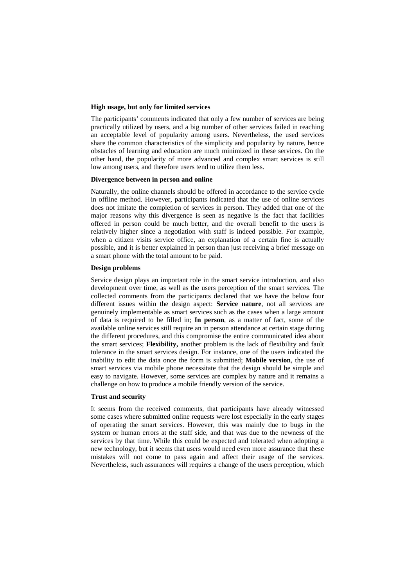#### **High usage, but only for limited services**

The participants' comments indicated that only a few number of services are being practically utilized by users, and a big number of other services failed in reaching an acceptable level of popularity among users. Nevertheless, the used services share the common characteristics of the simplicity and popularity by nature, hence obstacles of learning and education are much minimized in these services. On the other hand, the popularity of more advanced and complex smart services is still low among users, and therefore users tend to utilize them less.

#### **Divergence between in person and online**

Naturally, the online channels should be offered in accordance to the service cycle in offline method. However, participants indicated that the use of online services does not imitate the completion of services in person. They added that one of the major reasons why this divergence is seen as negative is the fact that facilities offered in person could be much better, and the overall benefit to the users is relatively higher since a negotiation with staff is indeed possible. For example, when a citizen visits service office, an explanation of a certain fine is actually possible, and it is better explained in person than just receiving a brief message on a smart phone with the total amount to be paid.

#### **Design problems**

Service design plays an important role in the smart service introduction, and also development over time, as well as the users perception of the smart services. The collected comments from the participants declared that we have the below four different issues within the design aspect: **Service nature**, not all services are genuinely implementable as smart services such as the cases when a large amount of data is required to be filled in; **In person**, as a matter of fact, some of the available online services still require an in person attendance at certain stage during the different procedures, and this compromise the entire communicated idea about the smart services; **Flexibility,** another problem is the lack of flexibility and fault tolerance in the smart services design. For instance, one of the users indicated the inability to edit the data once the form is submitted; **Mobile version**, the use of smart services via mobile phone necessitate that the design should be simple and easy to navigate. However, some services are complex by nature and it remains a challenge on how to produce a mobile friendly version of the service.

#### **Trust and security**

It seems from the received comments, that participants have already witnessed some cases where submitted online requests were lost especially in the early stages of operating the smart services. However, this was mainly due to bugs in the system or human errors at the staff side, and that was due to the newness of the services by that time. While this could be expected and tolerated when adopting a new technology, but it seems that users would need even more assurance that these mistakes will not come to pass again and affect their usage of the services. Nevertheless, such assurances will requires a change of the users perception, which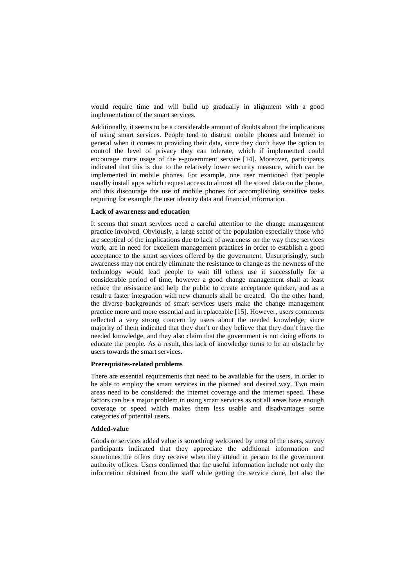would require time and will build up gradually in alignment with a good implementation of the smart services.

Additionally, it seems to be a considerable amount of doubts about the implications of using smart services. People tend to distrust mobile phones and Internet in general when it comes to providing their data, since they don't have the option to control the level of privacy they can tolerate, which if implemented could encourage more usage of the e-government service [14]. Moreover, participants indicated that this is due to the relatively lower security measure, which can be implemented in mobile phones. For example, one user mentioned that people usually install apps which request access to almost all the stored data on the phone, and this discourage the use of mobile phones for accomplishing sensitive tasks requiring for example the user identity data and financial information.

#### **Lack of awareness and education**

It seems that smart services need a careful attention to the change management practice involved. Obviously, a large sector of the population especially those who are sceptical of the implications due to lack of awareness on the way these services work, are in need for excellent management practices in order to establish a good acceptance to the smart services offered by the government. Unsurprisingly, such awareness may not entirely eliminate the resistance to change as the newness of the technology would lead people to wait till others use it successfully for a considerable period of time, however a good change management shall at least reduce the resistance and help the public to create acceptance quicker, and as a result a faster integration with new channels shall be created. On the other hand, the diverse backgrounds of smart services users make the change management practice more and more essential and irreplaceable [15]. However, users comments reflected a very strong concern by users about the needed knowledge, since majority of them indicated that they don't or they believe that they don't have the needed knowledge, and they also claim that the government is not doing efforts to educate the people. As a result, this lack of knowledge turns to be an obstacle by users towards the smart services.

#### **Prerequisites-related problems**

There are essential requirements that need to be available for the users, in order to be able to employ the smart services in the planned and desired way. Two main areas need to be considered: the internet coverage and the internet speed. These factors can be a major problem in using smart services as not all areas have enough coverage or speed which makes them less usable and disadvantages some categories of potential users.

#### **Added-value**

Goods or services added value is something welcomed by most of the users, survey participants indicated that they appreciate the additional information and sometimes the offers they receive when they attend in person to the government authority offices. Users confirmed that the useful information include not only the information obtained from the staff while getting the service done, but also the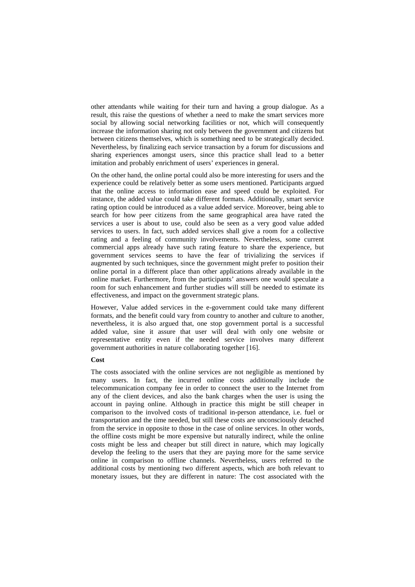other attendants while waiting for their turn and having a group dialogue. As a result, this raise the questions of whether a need to make the smart services more social by allowing social networking facilities or not, which will consequently increase the information sharing not only between the government and citizens but between citizens themselves, which is something need to be strategically decided. Nevertheless, by finalizing each service transaction by a forum for discussions and sharing experiences amongst users, since this practice shall lead to a better imitation and probably enrichment of users' experiences in general.

On the other hand, the online portal could also be more interesting for users and the experience could be relatively better as some users mentioned. Participants argued that the online access to information ease and speed could be exploited. For instance, the added value could take different formats. Additionally, smart service rating option could be introduced as a value added service. Moreover, being able to search for how peer citizens from the same geographical area have rated the services a user is about to use, could also be seen as a very good value added services to users. In fact, such added services shall give a room for a collective rating and a feeling of community involvements. Nevertheless, some current commercial apps already have such rating feature to share the experience, but government services seems to have the fear of trivializing the services if augmented by such techniques, since the government might prefer to position their online portal in a different place than other applications already available in the online market. Furthermore, from the participants' answers one would speculate a room for such enhancement and further studies will still be needed to estimate its effectiveness, and impact on the government strategic plans.

However, Value added services in the e-government could take many different formats, and the benefit could vary from country to another and culture to another, nevertheless, it is also argued that, one stop government portal is a successful added value, sine it assure that user will deal with only one website or representative entity even if the needed service involves many different government authorities in nature collaborating together [16].

#### **Cost**

The costs associated with the online services are not negligible as mentioned by many users. In fact, the incurred online costs additionally include the telecommunication company fee in order to connect the user to the Internet from any of the client devices, and also the bank charges when the user is using the account in paying online. Although in practice this might be still cheaper in comparison to the involved costs of traditional in-person attendance, i.e. fuel or transportation and the time needed, but still these costs are unconsciously detached from the service in opposite to those in the case of online services. In other words, the offline costs might be more expensive but naturally indirect, while the online costs might be less and cheaper but still direct in nature, which may logically develop the feeling to the users that they are paying more for the same service online in comparison to offline channels. Nevertheless, users referred to the additional costs by mentioning two different aspects, which are both relevant to monetary issues, but they are different in nature: The cost associated with the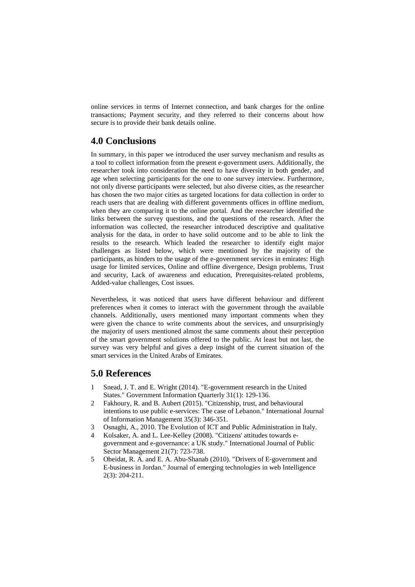online services in terms of Internet connection, and bank charges for the online transactions; Payment security, and they referred to their concerns about how secure is to provide their bank details online.

# **4.0 Conclusions**

In summary, in this paper we introduced the user survey mechanism and results as a tool to collect information from the present e-government users. Additionally, the researcher took into consideration the need to have diversity in both gender, and age when selecting participants for the one to one survey interview. Furthermore, not only diverse participants were selected, but also diverse cities, as the researcher has chosen the two major cities as targeted locations for data collection in order to reach users that are dealing with different governments offices in offline medium, when they are comparing it to the online portal. And the researcher identified the links between the survey questions, and the questions of the research. After the information was collected, the researcher introduced descriptive and qualitative analysis for the data, in order to have solid outcome and to be able to link the results to the research. Which leaded the researcher to identify eight major challenges as listed below, which were mentioned by the majority of the participants, as hinders to the usage of the e-government services in emirates: High usage for limited services, Online and offline divergence, Design problems, Trust and security, Lack of awareness and education, Prerequisites-related problems, Added-value challenges, Cost issues.

Nevertheless, it was noticed that users have different behaviour and different preferences when it comes to interact with the government through the available channels. Additionally, users mentioned many important comments when they were given the chance to write comments about the services, and unsurprisingly the majority of users mentioned almost the same comments about their perception of the smart government solutions offered to the public. At least but not last, the survey was very helpful and gives a deep insight of the current situation of the smart services in the United Arabs of Emirates.

# **5.0 References**

- 1 Snead, J. T. and E. Wright (2014). "E-government research in the United States." Government Information Quarterly 31(1): 129-136.
- 2 Fakhoury, R. and B. Aubert (2015). "Citizenship, trust, and behavioural intentions to use public e-services: The case of Lebanon." International Journal of Information Management 35(3): 346-351.
- 3 Osnaghi, A., 2010. The Evolution of ICT and Public Administration in Italy.
- 4 Kolsaker, A. and L. Lee-Kelley (2008). "Citizens' attitudes towards egovernment and e-governance: a UK study." International Journal of Public Sector Management 21(7): 723-738.
- 5 Obeidat, R. A. and E. A. Abu-Shanab (2010). "Drivers of E-government and E-business in Jordan." Journal of emerging technologies in web Intelligence 2(3): 204-211.